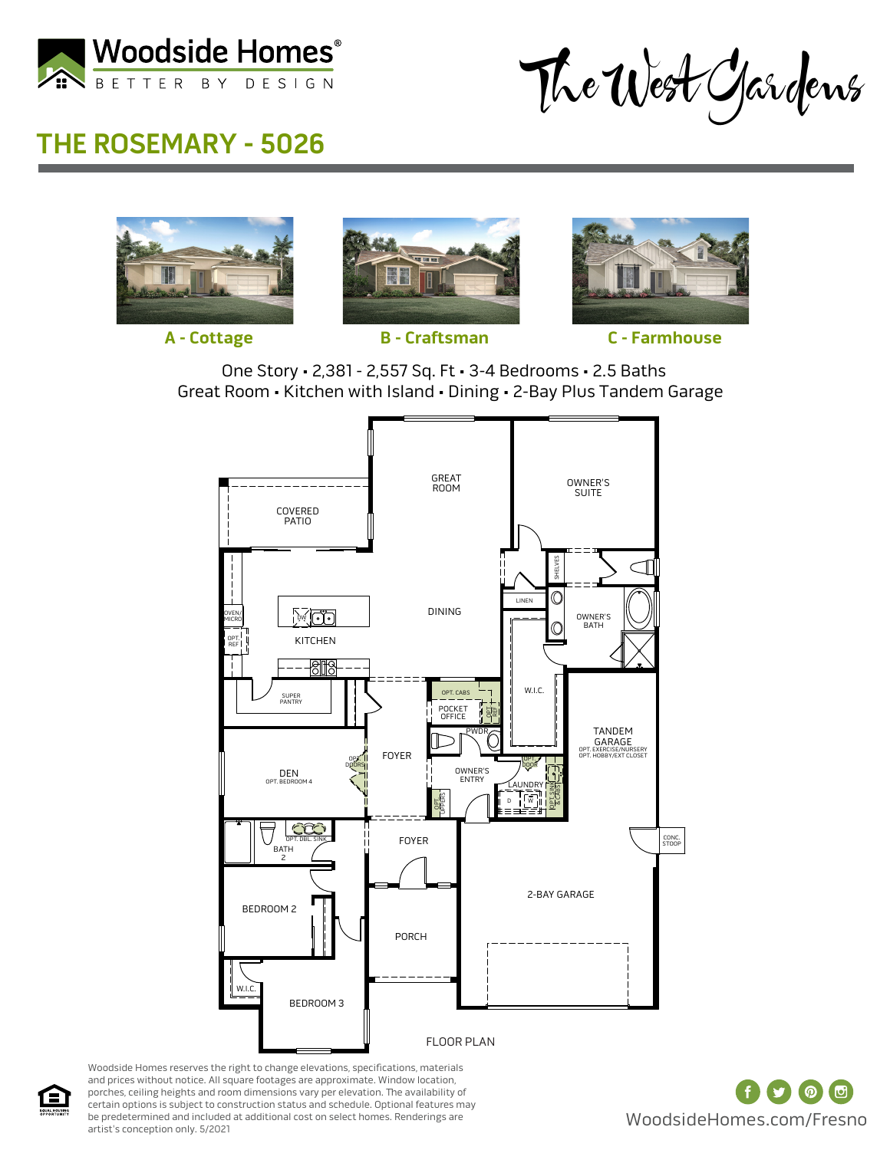

The West Gardens

## **THE ROSEMARY - 5026**







**A - Cottage B - Craftsman C - Farmhouse**

One Story • 2,381 - 2,557 Sq. Ft • 3-4 Bedrooms • 2.5 Baths Great Room • Kitchen with Island • Dining • 2-Bay Plus Tandem Garage



Woodside Homes reserves the right to change elevations, specifications, materials and prices without notice. All square footages are approximate. Window location, porches, ceiling heights and room dimensions vary per elevation. The availability of certain options is subject to construction status and schedule. Optional features may be predetermined and included at additional cost on select homes. Renderings are artist's conception only.